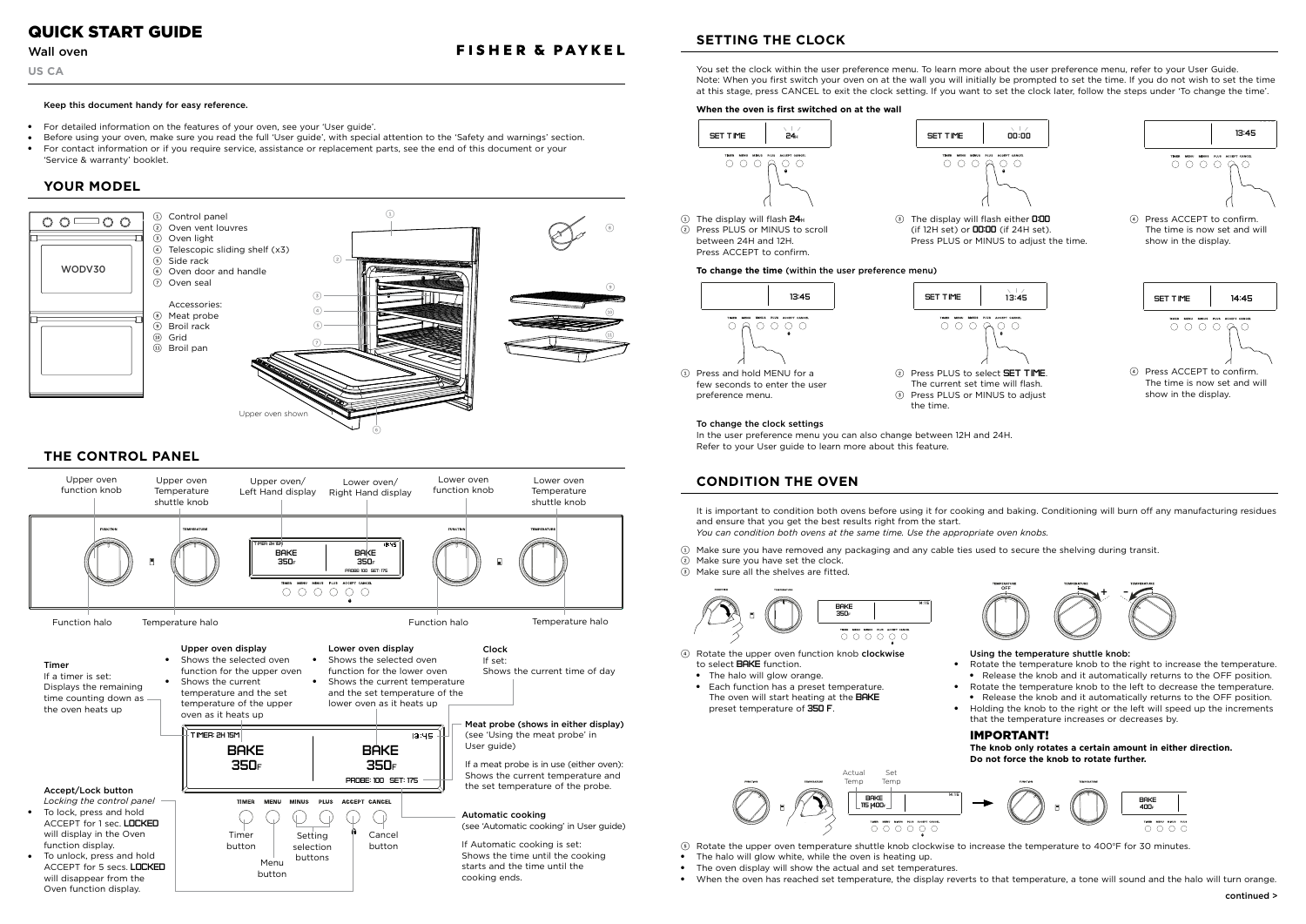## Keep this document handy for easy reference.

- For detailed information on the features of your oven, see your 'User guide'.
- $\bullet$ Before using your oven, make sure you read the full 'User guide', with special attention to the 'Safety and warnings' section.
- ● For contact information or if you require service, assistance or replacement parts, see the end of this document or your 'Service & warranty' booklet.



4 Rotate the upper oven function knob clockwise to select **BAKE** function.

- O O O O O O
- 5 Rotate the upper oven temperature shuttle knob clockwise to increase the temperature to 400oF for 30 minutes.
- ●The halo will glow white, while the oven is heating up.
- $\bullet$ The oven display will show the actual and set temperatures.
- When the oven has reached set temperature, the display reverts to that temperature, a tone will sound and the halo will turn orange.

3 The display will flash either 0:00 (if 12H set) or **00:00** (if 24H set). Press PLUS or MINUS to adjust the time.



You set the clock within the user preference menu. To learn more about the user preference menu, refer to your User Guide. Note: When you first switch your oven on at the wall you will initially be prompted to set the time. If you do not wish to set the time at this stage, press CANCEL to exit the clock setting. If you want to set the clock later, follow the steps under 'To change the time'.

#### Actua Temp Set Temp 14 :1 5**BAKE** 115 400f

## To change the clock settings

In the user preference menu you can also change between 12H and 24H. Refer to your User guide to learn more about this feature.

## **When the oven is first switched on at the wall**

## **To change the time** (within the user preference menu)

4 Press ACCEPT to confirm. The time is now set and will show in the display.

4 Press ACCEPT to confirm. The time is now set and will show in the display.

 $0000000$ 

1 Press and hold MENU for a few seconds to enter the user preference menu.

> It is important to condition both ovens before using it for cooking and baking. Conditioning will burn off any manufacturing residues and ensure that you get the best results right from the start. *You can condition both ovens at the same time. Use the appropriate oven knobs.*

1 Make sure you have removed any packaging and any cable ties used to secure the shelving during transit.

- 2 Make sure you have set the clock.
- 3 Make sure all the shelves are fitted.

- The halo will glow orange.
- Each function has a preset temperature. The oven will start heating at the **BAKE** preset temperature of 350 F.

# Using the temperature shuttle knob:

●

 Rotate the temperature knob to the right to increase the temperature. ● Release the knob and it automatically returns to the OFF position. ● Rotate the temperature knob to the left to decrease the temperature. ● Release the knob and it automatically returns to the OFF position. ● Holding the knob to the right or the left will speed up the increments that the temperature increases or decreases by.

# IMPORTANT!

**The knob only rotates a certain amount in either direction. Do not force the knob to rotate further.**

SET TIME



SET TIME













2 Press PLUS or MINUS to scroll between 24H and 12H. Press ACCEPT to confirm.

> 2 Press PLUS to select SET TIME. The current set time will flash. 3 Press PLUS or MINUS to adjust the time.

Wall oven

**US CA**

# QUICK START GUIDE



# **SETTING THE CLOCK**

**FISHER & PAYKEL** 

# **CONDITION THE OVEN**